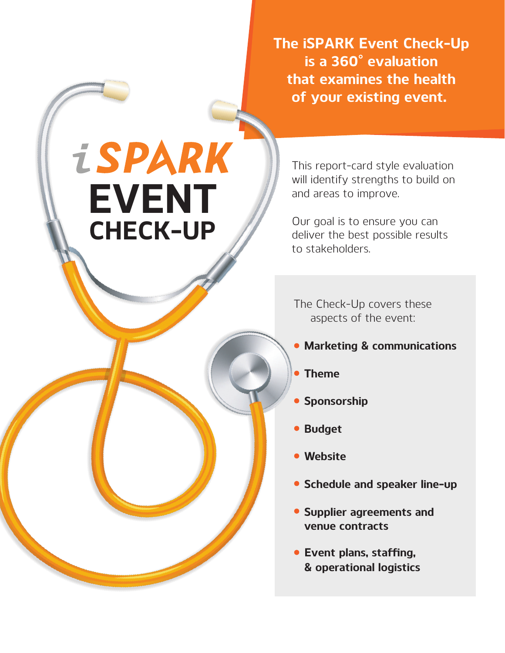**The iSPARK Event Check-Up is a 360° evaluation that examines the health of your existing event.** 

**iSPARK EVENT CHECK-UP** 

This report-card style evaluation will identify strengths to build on and areas to improve.

Our goal is to ensure you can deliver the best possible results to stakeholders.

The Check-Up covers these aspects of the event:

- **Marketing & communications**
- **Theme**
- **Sponsorship**
- **Budget**
- **Website**
- **Schedule and speaker line-up**
- **Supplier agreements and venue contracts**
- **& operational logistics Event plans, staffing,**